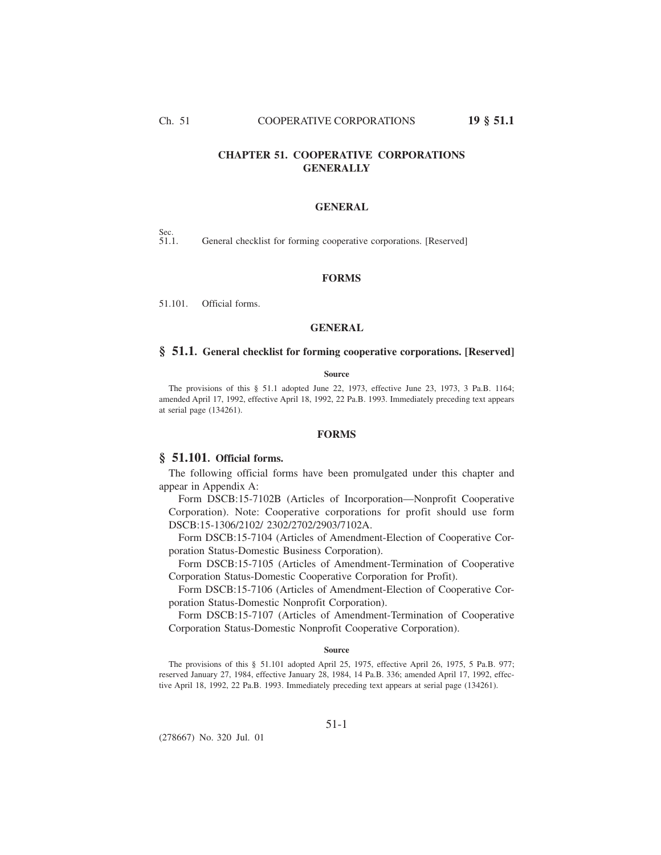# **CHAPTER 51. COOPERATIVE CORPORATIONS GENERALLY**

### **GENERAL**

Sec.<br>51.1.

General checklist for forming cooperative corporations. [Reserved]

# **FORMS**

51.101. Official forms.

### **GENERAL**

# **§ 51.1. General checklist for forming cooperative corporations. [Reserved]**

#### **Source**

The provisions of this § 51.1 adopted June 22, 1973, effective June 23, 1973, 3 Pa.B. 1164; amended April 17, 1992, effective April 18, 1992, 22 Pa.B. 1993. Immediately preceding text appears at serial page (134261).

# **FORMS**

# **§ 51.101. Official forms.**

The following official forms have been promulgated under this chapter and appear in Appendix A:

Form DSCB:15-7102B (Articles of Incorporation—Nonprofit Cooperative Corporation). Note: Cooperative corporations for profit should use form DSCB:15-1306/2102/ 2302/2702/2903/7102A.

Form DSCB:15-7104 (Articles of Amendment-Election of Cooperative Corporation Status-Domestic Business Corporation).

Form DSCB:15-7105 (Articles of Amendment-Termination of Cooperative Corporation Status-Domestic Cooperative Corporation for Profit).

Form DSCB:15-7106 (Articles of Amendment-Election of Cooperative Corporation Status-Domestic Nonprofit Corporation).

Form DSCB:15-7107 (Articles of Amendment-Termination of Cooperative Corporation Status-Domestic Nonprofit Cooperative Corporation).

#### **Source**

The provisions of this § 51.101 adopted April 25, 1975, effective April 26, 1975, 5 Pa.B. 977; reserved January 27, 1984, effective January 28, 1984, 14 Pa.B. 336; amended April 17, 1992, effective April 18, 1992, 22 Pa.B. 1993. Immediately preceding text appears at serial page (134261).

(278667) No. 320 Jul. 01

## 51-1